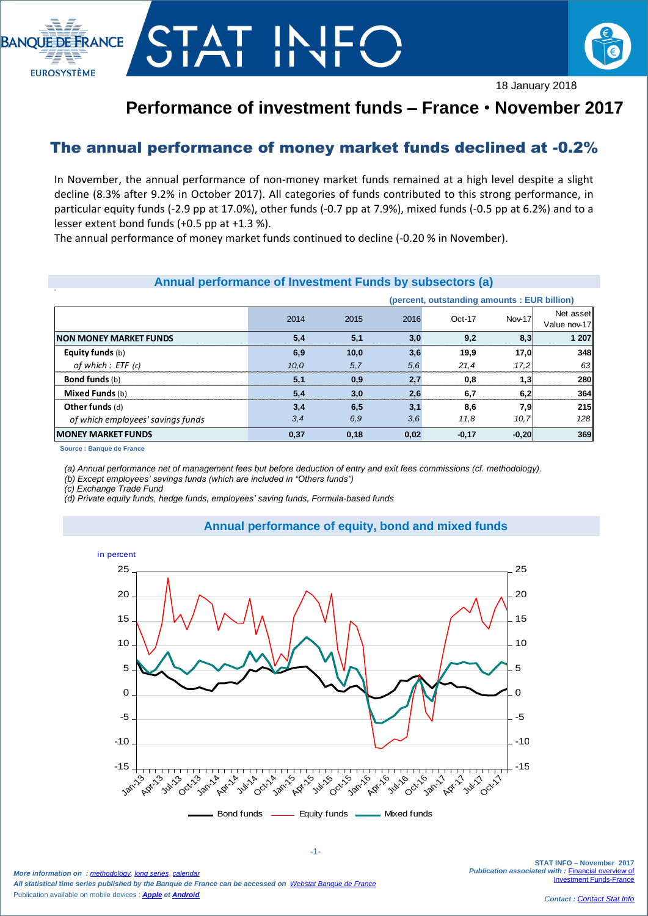



## **Performance of investment funds – France** • **November 2017**

## The annual performance of money market funds declined at -0.2%

In November, the annual performance of non-money market funds remained at a high level despite a slight decline (8.3% after 9.2% in October 2017). All categories of funds contributed to this strong performance, in particular equity funds (-2.9 pp at 17.0%), other funds (-0.7 pp at 7.9%), mixed funds (-0.5 pp at 6.2%) and to a lesser extent bond funds (+0.5 pp at +1.3 %).

The annual performance of money market funds continued to decline (-0.20 % in November).

|                                   | Annual performance of Investment Funds by subsectors (a) |      |      |                                              |               |                           |
|-----------------------------------|----------------------------------------------------------|------|------|----------------------------------------------|---------------|---------------------------|
|                                   |                                                          |      |      | (percent, outstanding amounts : EUR billion) |               |                           |
|                                   | 2014                                                     | 2015 | 2016 | $Oct-17$                                     | <b>Nov-17</b> | Net asset<br>Value nov-17 |
| <b>NON MONEY MARKET FUNDS</b>     | 5,4                                                      | 5,1  | 3,0  | 9,2                                          | 8,3           | 1 207                     |
| <b>Equity funds</b> (b)           | 6,9                                                      | 10,0 | 3,6  | 19,9                                         | 17,0          | 348                       |
| of which : ETF (c)                | 10,0                                                     | 5,7  | 5,6  | 21,4                                         | 17,2          | 63                        |
| <b>Bond funds</b> (b)             | 5,1                                                      | 0,9  | 2,7  | 0,8                                          | 1,3           | 280                       |
| <b>Mixed Funds (b)</b>            | 5,4                                                      | 3,0  | 2,6  | 6,7                                          | 6,2           | 364                       |
| Other funds (d)                   | 3,4                                                      | 6,5  | 3,1  | 8,6                                          | 7,9           | 215                       |
| of which employees' savings funds | 3,4                                                      | 6,9  | 3,6  | 11.8                                         | 10, 7         | 128                       |
| <b>MONEY MARKET FUNDS</b>         | 0,37                                                     | 0,18 | 0,02 | $-0,17$                                      | $-0,20$       | 369                       |
| Source: Banque de France          |                                                          |      |      |                                              |               |                           |

## **Source : Banque de France**

*(a) Annual performance net of management fees but before deduction of entry and exit fees commissions (cf. methodology).*

*(b) Except employees' savings funds (which are included in "Others funds")*

*(c) Exchange Trade Fund* 

*(d) Private equity funds, hedge funds, employees' saving funds, Formula-based funds*





*More information on : [methodology](https://www.banque-france.fr/en/node/21464)*, *[long series](http://webstat.banque-france.fr/en/browse.do?node=5384218)*, *[calendar](https://www.banque-france.fr/en/statistics/calendar) All statistical time series published by the Banque de France can be accessed on [Webstat Banque de France](http://webstat.banque-france.fr/en/)* Publication available on mobile devices : *[Apple](https://itunes.apple.com/fr/app/banquefrance/id663817914?mt=8) e[t Android](https://play.google.com/store/apps/details?id=fr.bdf.mobile&feature=search_result#?t=W251bGwsMSwyLDEsImZyLmJkZi5tb2JpbGUiXQ)*

**STAT INFO – November 2017 Publication associated with : Financial overview of [Investment Funds-France](https://www.banque-france.fr/en/node/4206)**